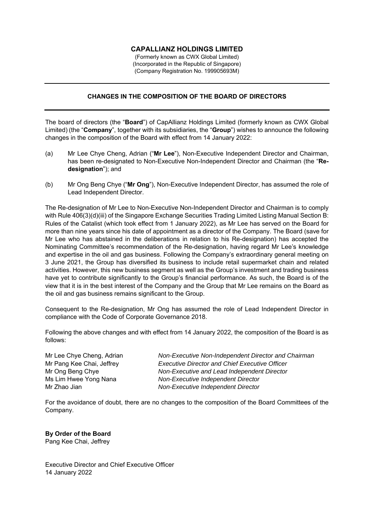## **CAPALLIANZ HOLDINGS LIMITED**

(Formerly known as CWX Global Limited) (Incorporated in the Republic of Singapore) (Company Registration No. 199905693M)

## **CHANGES IN THE COMPOSITION OF THE BOARD OF DIRECTORS**

The board of directors (the "**Board**") of CapAllianz Holdings Limited (formerly known as CWX Global Limited) (the "**Company**", together with its subsidiaries, the "**Group**") wishes to announce the following changes in the composition of the Board with effect from 14 January 2022:

- (a) Mr Lee Chye Cheng, Adrian ("**Mr Lee**"), Non-Executive Independent Director and Chairman, has been re-designated to Non-Executive Non-Independent Director and Chairman (the "**Redesignation**"); and
- (b) Mr Ong Beng Chye ("**Mr Ong**"), Non-Executive Independent Director, has assumed the role of Lead Independent Director.

The Re-designation of Mr Lee to Non-Executive Non-Independent Director and Chairman is to comply with Rule 406(3)(d)(iii) of the Singapore Exchange Securities Trading Limited Listing Manual Section B: Rules of the Catalist (which took effect from 1 January 2022), as Mr Lee has served on the Board for more than nine years since his date of appointment as a director of the Company. The Board (save for Mr Lee who has abstained in the deliberations in relation to his Re-designation) has accepted the Nominating Committee's recommendation of the Re-designation, having regard Mr Lee's knowledge and expertise in the oil and gas business. Following the Company's extraordinary general meeting on 3 June 2021, the Group has diversified its business to include retail supermarket chain and related activities. However, this new business segment as well as the Group's investment and trading business have yet to contribute significantly to the Group's financial performance. As such, the Board is of the view that it is in the best interest of the Company and the Group that Mr Lee remains on the Board as the oil and gas business remains significant to the Group.

Consequent to the Re-designation, Mr Ong has assumed the role of Lead Independent Director in compliance with the Code of Corporate Governance 2018.

Following the above changes and with effect from 14 January 2022, the composition of the Board is as follows:

Mr Lee Chye Cheng, Adrian *Non-Executive Non-Independent Director and Chairman* Mr Pang Kee Chai, Jeffrey *Executive Director and Chief Executive Officer* Mr Ong Beng Chye *Non-Executive and Lead Independent Director* Ms Lim Hwee Yong Nana *Non-Executive Independent Director* Mr Zhao Jian *Non-Executive Independent Director*

For the avoidance of doubt, there are no changes to the composition of the Board Committees of the Company.

**By Order of the Board**  Pang Kee Chai, Jeffrey

Executive Director and Chief Executive Officer 14 January 2022